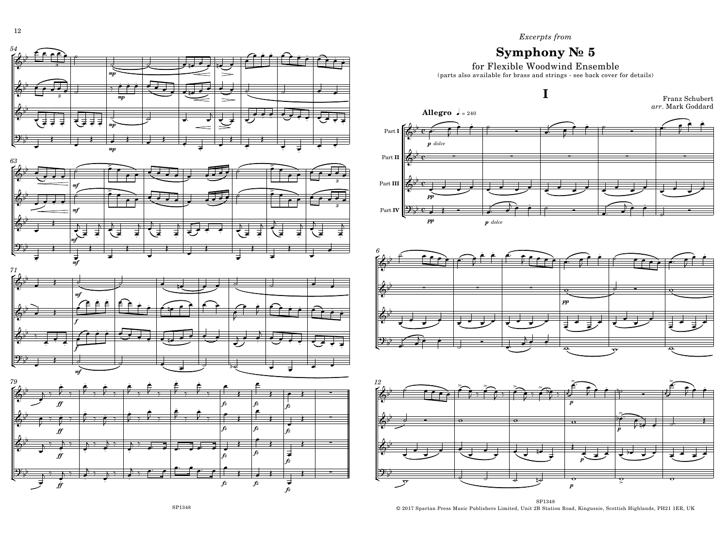## Excerpts from

## Symphony  $N<sub>2</sub>$  5

for Flexible Woodwind Ensemble

(parts also available for brass and strings - see back cover for details)



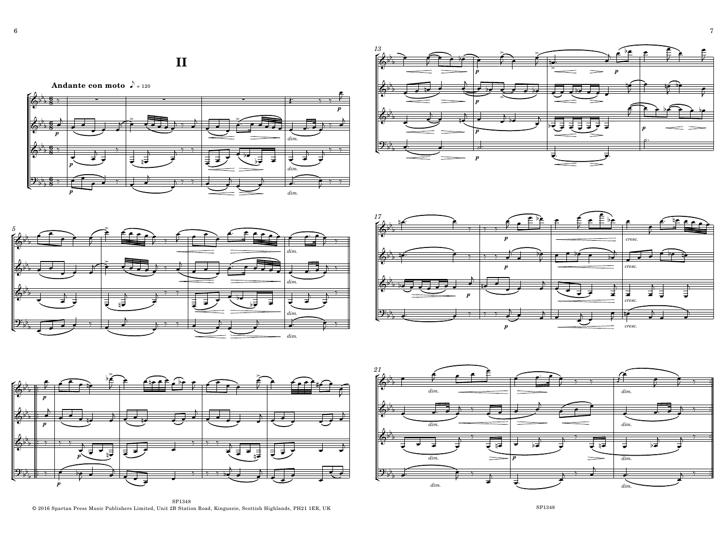**II**



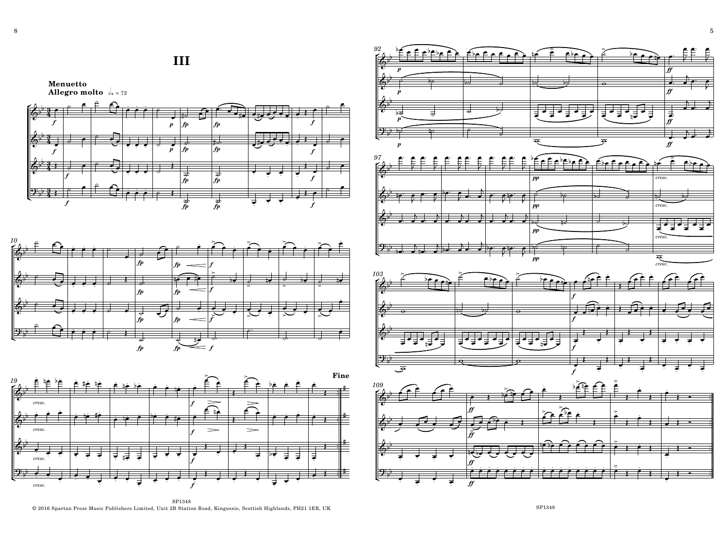## **III**

**Menuetto Allegro molto**  $\frac{1}{2}$ , = 72